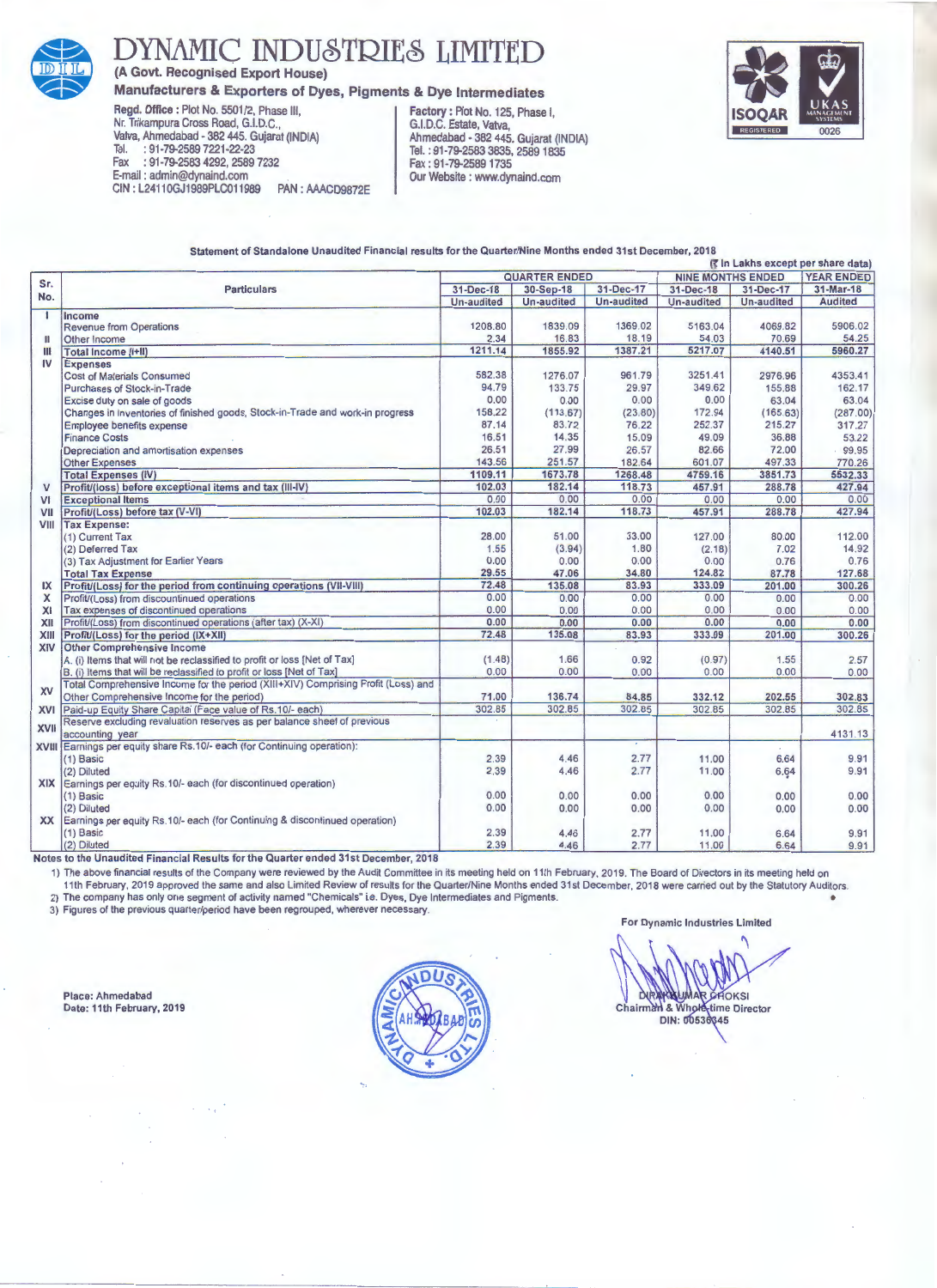

## **DYNAMIC INDUSTRIES LIMITED**

**(A Govt. Recognised Export House)** 

## **Manufacturers & Exporters of Dyes, Pigments & Dye Intermediates**

**Regd. Office:** Plot No. 5501/2, Phase Ill, **Factory:** Plot No. 125, Phase J, Nr. Trikampura Cross Road, G.I.D.C., G.I.D.C. Estate, Vatva, Valva, Ahmedabad - 382 445. Gujarat (INDIA) Ahmedabad - 382 445. Gujarat (INDIA) Tel. : 91-79-2589 7221-22·23 Tel. : 91-79-2583 3835, 2589 1835 Fax : 91-79-2583 4292, 2589 7232 Fax : 91-79-25891735 E-mail : admin@dynaind.com<br>CIN : L24110GJ1989PLC011989 PAN : AAACD9872E Qur Website : www.dynaind.com CIN: L24110GJ1989PLC011989

Statement of Standalone Unaudited Financial results for the Quarter/Nine Months ended 31st December, 2018



(r In Lakhs except per share data)

| Sr.          | <b>Particulars</b>                                                                | <b>QUARTER ENDED</b> |            |            | <b>NINE MONTHS ENDED</b> |            | <b>YEAR ENDED</b> |
|--------------|-----------------------------------------------------------------------------------|----------------------|------------|------------|--------------------------|------------|-------------------|
| No.          |                                                                                   | 31-Dec-18            | 30-Sep-18  | 31-Dec-17  | 31-Dec-18                | 31-Dec-17  | $31-Mar-18$       |
|              |                                                                                   | <b>Un-audited</b>    | Un-audited | Un-audited | Un-audited               | Un-audited | <b>Audited</b>    |
| $\mathbf{I}$ | Income                                                                            |                      |            |            |                          |            |                   |
| H            | <b>Revenue from Operations</b>                                                    | 1208.80              | 1839.09    | 1369.02    | 5163.04                  | 4069.82    | 5906.02           |
|              | Other Income                                                                      | 2.34                 | 16.83      | 18.19      | 54.03                    | 70.69      | 54.25             |
| $\mathbf{H}$ | Total Income (I+II)                                                               | 1211.14              | 1855.92    | 1387.21    | 5217.07                  | 4140.51    | 5960.27           |
| IV           | <b>Expenses</b>                                                                   |                      |            |            |                          |            |                   |
|              | <b>Cost of Materials Consumed</b>                                                 | 582.38               | 1276.07    | 961.79     | 3251.41                  | 2976.96    | 4353.41           |
|              | <b>Purchases of Stock-in-Trade</b>                                                | 94.79                | 133.75     | 29.97      | 349.62                   | 155.88     | 162.17            |
|              | Excise duty on sale of goods                                                      | 0.00                 | 0.00       | 0.00       | 0.00                     | 63.04      | 63.04             |
|              | Changes in inventories of finished goods, Stock-in-Trade and work-in progress     | 158.22               | (113.67)   | (23.80)    | 172.94                   | (165.63)   | (287.00)          |
|              | Employee benefits expense                                                         | 87.14                | 83.72      | 76.22      | 252.37                   | 215.27     | 317.27            |
|              | <b>Finance Costs</b>                                                              | 16.51                | 14.35      | 15.09      | 49.09                    | 36.88      | 53.22             |
|              | Depreciation and amortisation expenses                                            | 26.51                | 27,99      | 26.57      | 82.66                    | 72.00      | 99.95             |
|              | <b>Other Expenses</b>                                                             | 143.56               | 251.57     | 182.64     | 601.07                   | 497.33     | 770.26            |
|              | <b>Total Expenses (IV)</b>                                                        | 1109.11              | 1673.78    | 1268.48    | 4759.16                  | 3851.73    | 5532.33           |
| $\mathsf{V}$ | Profit/(loss) before exceptional items and tax (III-IV)                           | 102.03               | 182.14     | 118.73     | 457.91                   | 288.78     | 427.94            |
| VI           | <b>Exceptional Items</b>                                                          | 0.00                 | 0.00       | 0.00       | 0.00                     | 0.00       | 0.00              |
| VII          | Profit/(Loss) before tax (V-VI)                                                   | 102.03               | 182.14     | 118.73     | 457.91                   | 288.78     | 427.94            |
| VIII         | <b>Tax Expense:</b>                                                               |                      |            |            |                          |            |                   |
|              |                                                                                   | 28.00                | 51.00      | 33.00      | 127.00                   |            |                   |
|              | (1) Current Tax                                                                   |                      |            |            |                          | 80.00      | 112.00            |
|              | (2) Deferred Tax                                                                  | 1.55                 | (3.94)     | 1.80       | (2.18)                   | 7.02       | 14.92             |
|              | (3) Tax Adjustment for Earlier Years                                              | 0.00                 | 0.00       | 0.00       | 0.00                     | 0.76       | 0.76              |
|              | <b>Total Tax Expense</b>                                                          | 29.55                | 47.06      | 34.80      | 124.82                   | 87.78      | 127.68            |
| IX           | Profit/(Loss) for the period from continuing operations (VII-VIII)                | 72.48                | 135.08     | 83.93      | 333.09                   | 201.00     | 300.26            |
| X            | Profit/(Loss) from discountinued operations                                       | 0.00                 | 0.00       | 0.00       | 0.00                     | 0.00       | 0.00              |
| XI           | Tax expenses of discontinued operations                                           | 0.00                 | 0.00       | 0.00       | 0.00                     | 0.00       | 0.00              |
| XII          | Profit/(Loss) from discontinued operations (after tax) (X-XI)                     | 0.00                 | 0.00       | 0.00       | 0.00                     | 0.00       | 0.00              |
| XIII         | Profit/(Loss) for the period (IX+XII)                                             | 72.48                | 135.08     | 83.93      | 333.09                   | 201.00     | 300.26            |
| XIV          | <b>Other Comprehensive Income</b>                                                 |                      |            |            |                          |            |                   |
|              | A. (i) Items that will not be reclassified to profit or loss [Net of Tax]         | (1.48)               | 1.66       | 0.92       | (0.97)                   | 1.55       | 2.57              |
|              | B. (i) Items that will be reclassified to profit or loss [Net of Tax]             | 0.00                 | 0.00       | 0.00       | 0.00                     | 0.00       | 0.00              |
| <b>XV</b>    | Total Comprehensive Income for the period (XIII+XIV) Comprising Profit (Loss) and |                      |            |            |                          |            |                   |
|              | Other Comprehensive Income for the period)                                        | 71.00                | 136.74     | 84.85      | 332.12                   | 202.55     | 302.83            |
| <b>XVI</b>   | Paid-up Equity Share Capital (Face value of Rs.10/- each)                         | 302.85               | 302.85     | 302.85     | 302.85                   | 302.85     | 302.85            |
|              | Reserve excluding revaluation reserves as per balance sheet of previous           |                      |            |            |                          |            |                   |
| <b>XVII</b>  | accounting year                                                                   |                      |            |            |                          |            | 4131.13           |
|              | XVIII Earnings per equity share Rs.10/- each (for Continuing operation):          |                      |            |            |                          |            |                   |
|              | (1) Basic                                                                         | 2.39                 | 4.46       | 2.77       | 11.00                    | 6.64       | 9.91              |
|              | (2) Diluted                                                                       | 2.39                 | 4.46       | 2.77       | 11.00                    | 6.64       | 9.91              |
| XIX I        | Earnings per equity Rs.10/- each (for discontinued operation)                     |                      |            |            |                          |            |                   |
|              | $(1)$ Basic                                                                       | 0.00                 | 0.00       | 0.00       | 0.00                     | 0.00       | 0.00              |
|              | (2) Diluted                                                                       | 0.00                 | 0.00       | 0.00       | 0.00                     | 0.00       | 0.00              |
| <b>XX</b>    | Earnings per equity Rs.10/- each (for Continuing & discontinued operation)        |                      |            |            |                          |            |                   |
|              | $(1)$ Basic                                                                       | 2.39                 | 4.46       | 2.77       | 11.00                    | 6.64       | 9.91              |
|              | (2) Diluted                                                                       | 2.39                 | 4.46       | 2.77       | 11.00                    | 6.64       | 9.91              |
|              |                                                                                   |                      |            |            |                          |            |                   |

Notes to the Unaudited Financial Results for the Quarter ended 31st December, 2018

1) The above financial results of the Company were reviewed by the Audit Committee in its meeting held on 11th February, 2019. The Board of Directors in its meeting held on 11th February, 2019 approved the same and also Limited Review of results for the Quarter/Nine Months ended 31st December, 2018 were carried out by the Statutory Auditors.

2) The company has only one segment of activity named "Chemicals" i.e. Dyes, Dye Intermediates and Pigments. •

3) Figures of the previous quarter/period have been regrouped, wherever necessary.

Place: Ahmedabad Date: 11th February, 2019



For Dynamic Industries Limited

**Dub MAR CHOKSI** DIRANGUMAR CHOKSI<br>Chairman & Whole time Director<br>DIN: 00536845